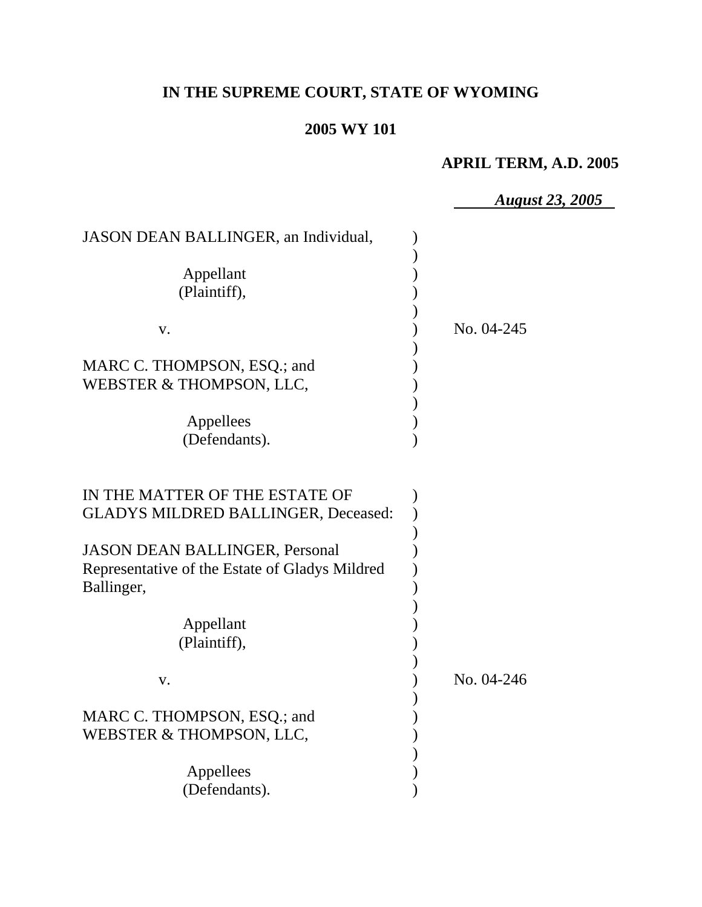# **IN THE SUPREME COURT, STATE OF WYOMING**

## **2005 WY 101**

## **APRIL TERM, A.D. 2005**

 *August 23, 2005*  JASON DEAN BALLINGER, an Individual, ) Appellant (1) (Plaintiff), ) ) v. ) No. 04-245 ) MARC C. THOMPSON, ESQ.; and ) WEBSTER & THOMPSON, LLC, ) Appellees ) (Defendants). IN THE MATTER OF THE ESTATE OF  $\qquad\qquad)$ GLADYS MILDRED BALLINGER, Deceased: ) JASON DEAN BALLINGER, Personal ) Representative of the Estate of Gladys Mildred ) Ballinger, (1) ) Appellant ) (Plaintiff), ) ) v. ) No. 04-246 ) MARC C. THOMPSON, ESQ.; and WEBSTER & THOMPSON, LLC, ) Appellees ) (Defendants).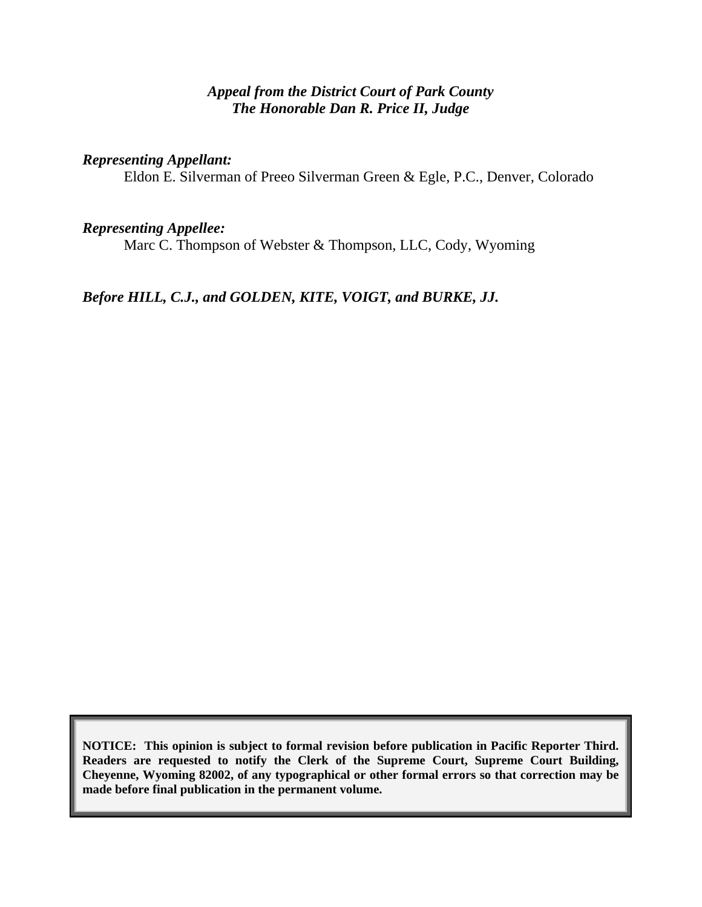### *Appeal from the District Court of Park County The Honorable Dan R. Price II, Judge*

### *Representing Appellant:*

Eldon E. Silverman of Preeo Silverman Green & Egle, P.C., Denver, Colorado

### *Representing Appellee:*

Marc C. Thompson of Webster & Thompson, LLC, Cody, Wyoming

*Before HILL, C.J., and GOLDEN, KITE, VOIGT, and BURKE, JJ.* 

**NOTICE: This opinion is subject to formal revision before publication in Pacific Reporter Third. Readers are requested to notify the Clerk of the Supreme Court, Supreme Court Building, Cheyenne, Wyoming 82002, of any typographical or other formal errors so that correction may be made before final publication in the permanent volume.**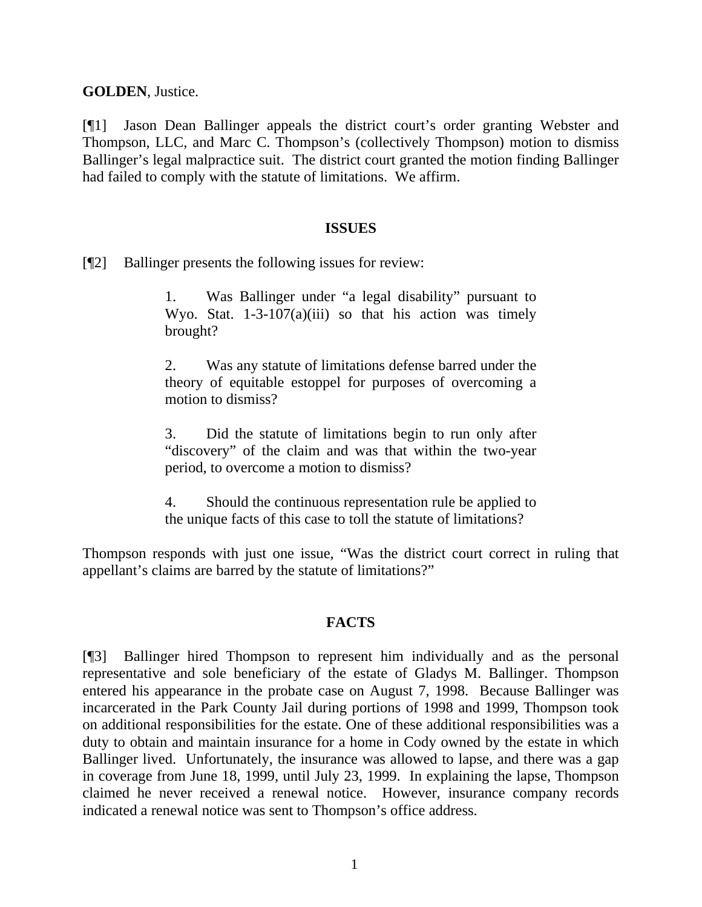**GOLDEN**, Justice.

[¶1] Jason Dean Ballinger appeals the district court's order granting Webster and Thompson, LLC, and Marc C. Thompson's (collectively Thompson) motion to dismiss Ballinger's legal malpractice suit. The district court granted the motion finding Ballinger had failed to comply with the statute of limitations. We affirm.

#### **ISSUES**

[¶2] Ballinger presents the following issues for review:

1. Was Ballinger under "a legal disability" pursuant to Wyo. Stat.  $1-3-107(a)(iii)$  so that his action was timely brought?

2. Was any statute of limitations defense barred under the theory of equitable estoppel for purposes of overcoming a motion to dismiss?

3. Did the statute of limitations begin to run only after "discovery" of the claim and was that within the two-year period, to overcome a motion to dismiss?

4. Should the continuous representation rule be applied to the unique facts of this case to toll the statute of limitations?

Thompson responds with just one issue, "Was the district court correct in ruling that appellant's claims are barred by the statute of limitations?"

### **FACTS**

[¶3] Ballinger hired Thompson to represent him individually and as the personal representative and sole beneficiary of the estate of Gladys M. Ballinger. Thompson entered his appearance in the probate case on August 7, 1998. Because Ballinger was incarcerated in the Park County Jail during portions of 1998 and 1999, Thompson took on additional responsibilities for the estate. One of these additional responsibilities was a duty to obtain and maintain insurance for a home in Cody owned by the estate in which Ballinger lived. Unfortunately, the insurance was allowed to lapse, and there was a gap in coverage from June 18, 1999, until July 23, 1999. In explaining the lapse, Thompson claimed he never received a renewal notice. However, insurance company records indicated a renewal notice was sent to Thompson's office address.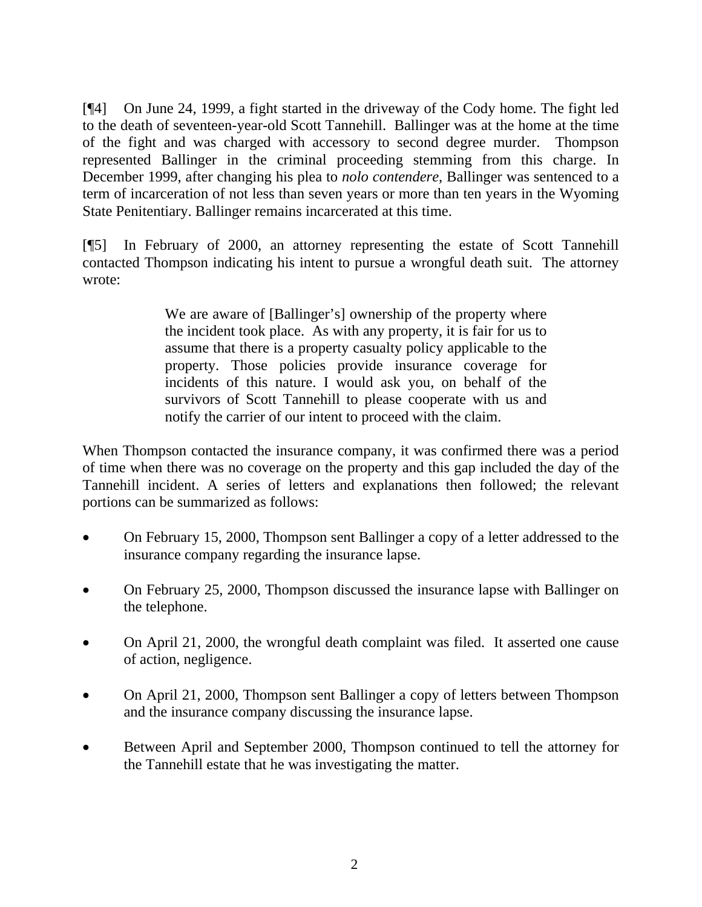[¶4] On June 24, 1999, a fight started in the driveway of the Cody home. The fight led to the death of seventeen-year-old Scott Tannehill. Ballinger was at the home at the time of the fight and was charged with accessory to second degree murder. Thompson represented Ballinger in the criminal proceeding stemming from this charge. In December 1999, after changing his plea to *nolo contendere*, Ballinger was sentenced to a term of incarceration of not less than seven years or more than ten years in the Wyoming State Penitentiary. Ballinger remains incarcerated at this time.

[¶5] In February of 2000, an attorney representing the estate of Scott Tannehill contacted Thompson indicating his intent to pursue a wrongful death suit. The attorney wrote:

> We are aware of [Ballinger's] ownership of the property where the incident took place. As with any property, it is fair for us to assume that there is a property casualty policy applicable to the property. Those policies provide insurance coverage for incidents of this nature. I would ask you, on behalf of the survivors of Scott Tannehill to please cooperate with us and notify the carrier of our intent to proceed with the claim.

When Thompson contacted the insurance company, it was confirmed there was a period of time when there was no coverage on the property and this gap included the day of the Tannehill incident. A series of letters and explanations then followed; the relevant portions can be summarized as follows:

- On February 15, 2000, Thompson sent Ballinger a copy of a letter addressed to the insurance company regarding the insurance lapse.
- On February 25, 2000, Thompson discussed the insurance lapse with Ballinger on the telephone.
- On April 21, 2000, the wrongful death complaint was filed. It asserted one cause of action, negligence.
- On April 21, 2000, Thompson sent Ballinger a copy of letters between Thompson and the insurance company discussing the insurance lapse.
- Between April and September 2000, Thompson continued to tell the attorney for the Tannehill estate that he was investigating the matter.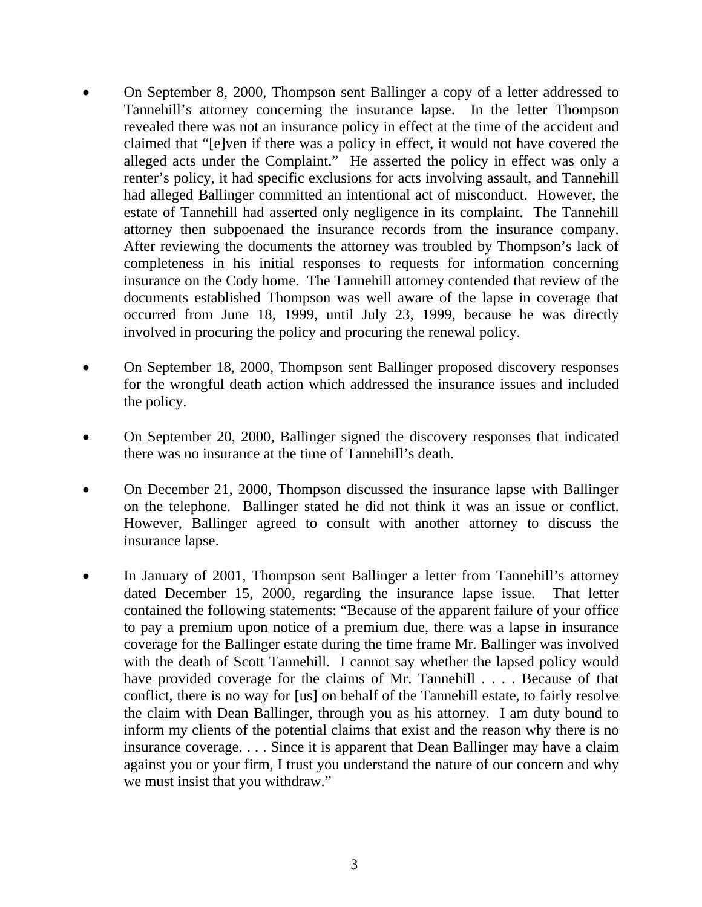- On September 8, 2000, Thompson sent Ballinger a copy of a letter addressed to Tannehill's attorney concerning the insurance lapse. In the letter Thompson revealed there was not an insurance policy in effect at the time of the accident and claimed that "[e]ven if there was a policy in effect, it would not have covered the alleged acts under the Complaint." He asserted the policy in effect was only a renter's policy, it had specific exclusions for acts involving assault, and Tannehill had alleged Ballinger committed an intentional act of misconduct. However, the estate of Tannehill had asserted only negligence in its complaint. The Tannehill attorney then subpoenaed the insurance records from the insurance company. After reviewing the documents the attorney was troubled by Thompson's lack of completeness in his initial responses to requests for information concerning insurance on the Cody home. The Tannehill attorney contended that review of the documents established Thompson was well aware of the lapse in coverage that occurred from June 18, 1999, until July 23, 1999, because he was directly involved in procuring the policy and procuring the renewal policy.
- On September 18, 2000, Thompson sent Ballinger proposed discovery responses for the wrongful death action which addressed the insurance issues and included the policy.
- On September 20, 2000, Ballinger signed the discovery responses that indicated there was no insurance at the time of Tannehill's death.
- On December 21, 2000, Thompson discussed the insurance lapse with Ballinger on the telephone. Ballinger stated he did not think it was an issue or conflict. However, Ballinger agreed to consult with another attorney to discuss the insurance lapse.
- In January of 2001, Thompson sent Ballinger a letter from Tannehill's attorney dated December 15, 2000, regarding the insurance lapse issue. That letter contained the following statements: "Because of the apparent failure of your office to pay a premium upon notice of a premium due, there was a lapse in insurance coverage for the Ballinger estate during the time frame Mr. Ballinger was involved with the death of Scott Tannehill. I cannot say whether the lapsed policy would have provided coverage for the claims of Mr. Tannehill . . . . Because of that conflict, there is no way for [us] on behalf of the Tannehill estate, to fairly resolve the claim with Dean Ballinger, through you as his attorney. I am duty bound to inform my clients of the potential claims that exist and the reason why there is no insurance coverage. . . . Since it is apparent that Dean Ballinger may have a claim against you or your firm, I trust you understand the nature of our concern and why we must insist that you withdraw."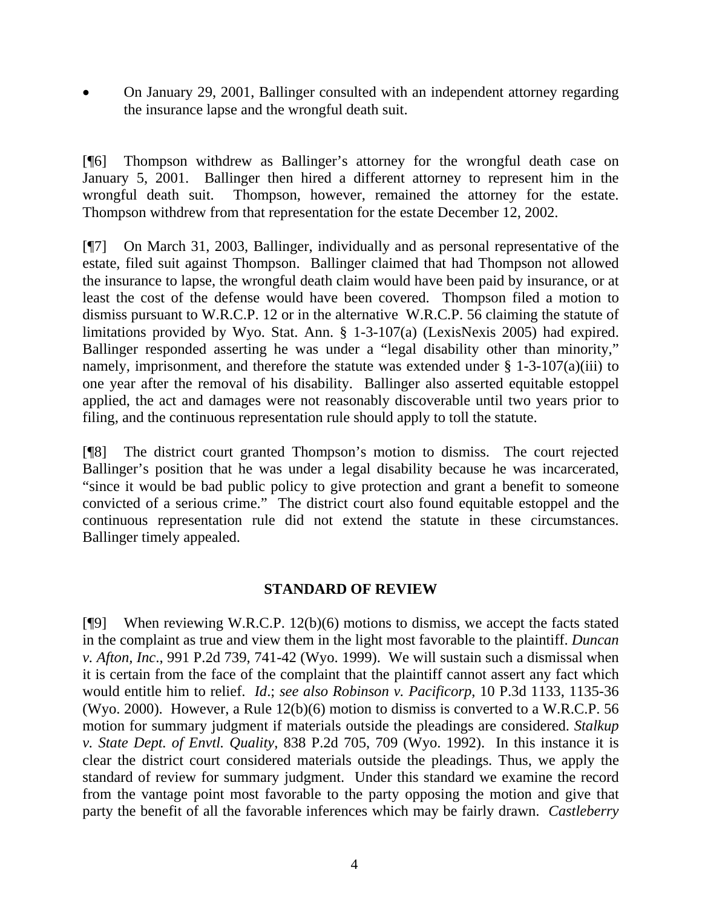• On January 29, 2001, Ballinger consulted with an independent attorney regarding the insurance lapse and the wrongful death suit.

[¶6] Thompson withdrew as Ballinger's attorney for the wrongful death case on January 5, 2001. Ballinger then hired a different attorney to represent him in the wrongful death suit. Thompson, however, remained the attorney for the estate. Thompson withdrew from that representation for the estate December 12, 2002.

[¶7] On March 31, 2003, Ballinger, individually and as personal representative of the estate, filed suit against Thompson. Ballinger claimed that had Thompson not allowed the insurance to lapse, the wrongful death claim would have been paid by insurance, or at least the cost of the defense would have been covered. Thompson filed a motion to dismiss pursuant to W.R.C.P. 12 or in the alternative W.R.C.P. 56 claiming the statute of limitations provided by Wyo. Stat. Ann. § 1-3-107(a) (LexisNexis 2005) had expired. Ballinger responded asserting he was under a "legal disability other than minority," namely, imprisonment, and therefore the statute was extended under  $\S$  1-3-107(a)(iii) to one year after the removal of his disability. Ballinger also asserted equitable estoppel applied, the act and damages were not reasonably discoverable until two years prior to filing, and the continuous representation rule should apply to toll the statute.

[¶8] The district court granted Thompson's motion to dismiss. The court rejected Ballinger's position that he was under a legal disability because he was incarcerated, "since it would be bad public policy to give protection and grant a benefit to someone convicted of a serious crime." The district court also found equitable estoppel and the continuous representation rule did not extend the statute in these circumstances. Ballinger timely appealed.

## **STANDARD OF REVIEW**

[¶9] When reviewing W.R.C.P. 12(b)(6) motions to dismiss, we accept the facts stated in the complaint as true and view them in the light most favorable to the plaintiff. *Duncan v. Afton, Inc*., 991 P.2d 739, 741-42 (Wyo. 1999). We will sustain such a dismissal when it is certain from the face of the complaint that the plaintiff cannot assert any fact which would entitle him to relief. *Id*.; *see also Robinson v. Pacificorp*, 10 P.3d 1133, 1135-36 (Wyo. 2000). However, a Rule 12(b)(6) motion to dismiss is converted to a W.R.C.P. 56 motion for summary judgment if materials outside the pleadings are considered. *Stalkup v. State Dept. of Envtl. Quality*, 838 P.2d 705, 709 (Wyo. 1992). In this instance it is clear the district court considered materials outside the pleadings. Thus, we apply the standard of review for summary judgment. Under this standard we examine the record from the vantage point most favorable to the party opposing the motion and give that party the benefit of all the favorable inferences which may be fairly drawn. *Castleberry*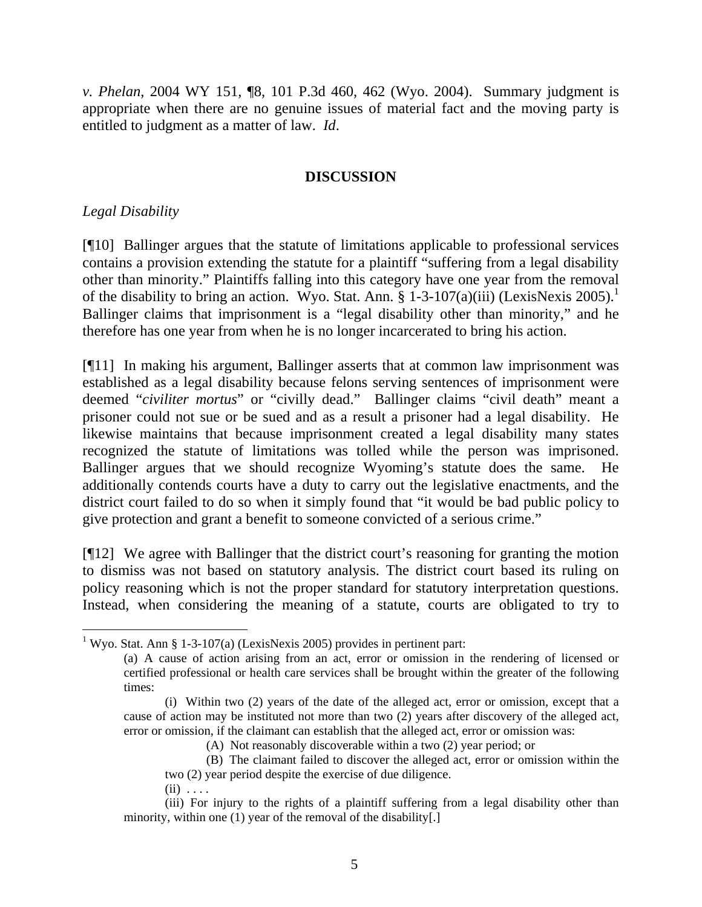*v. Phelan*, 2004 WY 151, ¶8, 101 P.3d 460, 462 (Wyo. 2004). Summary judgment is appropriate when there are no genuine issues of material fact and the moving party is entitled to judgment as a matter of law. *Id*.

#### **DISCUSSION**

*Legal Disability* 

[¶10] Ballinger argues that the statute of limitations applicable to professional services contains a provision extending the statute for a plaintiff "suffering from a legal disability other than minority." Plaintiffs falling into this category have one year from the removal of the disability to bring an action. Wyo. Stat. Ann.  $\S 1-3-107(a)(iii)$  $\S 1-3-107(a)(iii)$  $\S 1-3-107(a)(iii)$  (LexisNexis 2005).<sup>1</sup> Ballinger claims that imprisonment is a "legal disability other than minority," and he therefore has one year from when he is no longer incarcerated to bring his action.

[¶11] In making his argument, Ballinger asserts that at common law imprisonment was established as a legal disability because felons serving sentences of imprisonment were deemed "*civiliter mortus*" or "civilly dead." Ballinger claims "civil death" meant a prisoner could not sue or be sued and as a result a prisoner had a legal disability. He likewise maintains that because imprisonment created a legal disability many states recognized the statute of limitations was tolled while the person was imprisoned. Ballinger argues that we should recognize Wyoming's statute does the same. He additionally contends courts have a duty to carry out the legislative enactments, and the district court failed to do so when it simply found that "it would be bad public policy to give protection and grant a benefit to someone convicted of a serious crime."

[¶12] We agree with Ballinger that the district court's reasoning for granting the motion to dismiss was not based on statutory analysis. The district court based its ruling on policy reasoning which is not the proper standard for statutory interpretation questions. Instead, when considering the meaning of a statute, courts are obligated to try to

 $(ii) \ldots$ 

<span id="page-6-0"></span><sup>&</sup>lt;sup>1</sup> Wyo. Stat. Ann § 1-3-107(a) (LexisNexis 2005) provides in pertinent part:

<sup>(</sup>a) A cause of action arising from an act, error or omission in the rendering of licensed or certified professional or health care services shall be brought within the greater of the following times:

<sup>(</sup>i) Within two (2) years of the date of the alleged act, error or omission, except that a cause of action may be instituted not more than two (2) years after discovery of the alleged act, error or omission, if the claimant can establish that the alleged act, error or omission was:

<sup>(</sup>A) Not reasonably discoverable within a two (2) year period; or

<sup>(</sup>B) The claimant failed to discover the alleged act, error or omission within the two (2) year period despite the exercise of due diligence.

<sup>(</sup>iii) For injury to the rights of a plaintiff suffering from a legal disability other than minority, within one (1) year of the removal of the disability[.]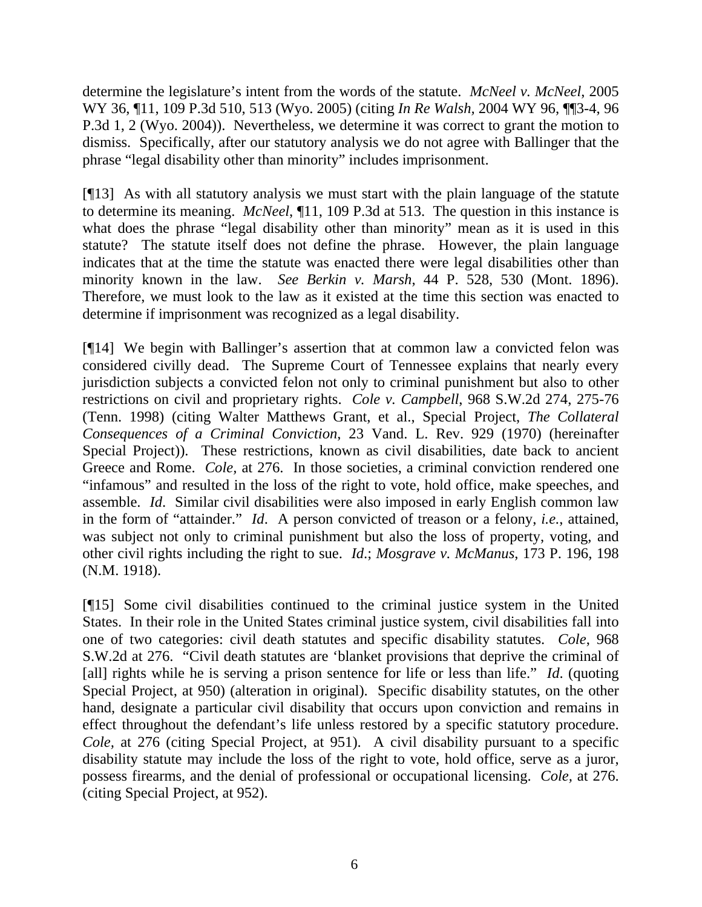determine the legislature's intent from the words of the statute. *McNeel v. McNeel*, 2005 WY 36, ¶11, 109 P.3d 510, 513 (Wyo. 2005) (citing *In Re Walsh,* 2004 WY 96, ¶¶3-4, 96 P.3d 1, 2 (Wyo. 2004)). Nevertheless, we determine it was correct to grant the motion to dismiss. Specifically, after our statutory analysis we do not agree with Ballinger that the phrase "legal disability other than minority" includes imprisonment.

[¶13] As with all statutory analysis we must start with the plain language of the statute to determine its meaning. *McNeel*, ¶11, 109 P.3d at 513. The question in this instance is what does the phrase "legal disability other than minority" mean as it is used in this statute? The statute itself does not define the phrase. However, the plain language indicates that at the time the statute was enacted there were legal disabilities other than minority known in the law. *See Berkin v. Marsh*, 44 P. 528, 530 (Mont. 1896). Therefore, we must look to the law as it existed at the time this section was enacted to determine if imprisonment was recognized as a legal disability.

[¶14] We begin with Ballinger's assertion that at common law a convicted felon was considered civilly dead. The Supreme Court of Tennessee explains that nearly every jurisdiction subjects a convicted felon not only to criminal punishment but also to other restrictions on civil and proprietary rights. *Cole v. Campbell*, 968 S.W.2d 274, 275-76 (Tenn. 1998) (citing Walter Matthews Grant, et al., Special Project, *The Collateral Consequences of a Criminal Conviction*, 23 Vand. L. Rev. 929 (1970) (hereinafter Special Project)). These restrictions, known as civil disabilities, date back to ancient Greece and Rome. *Cole,* at 276. In those societies, a criminal conviction rendered one "infamous" and resulted in the loss of the right to vote, hold office, make speeches, and assemble. *Id*. Similar civil disabilities were also imposed in early English common law in the form of "attainder." *Id*. A person convicted of treason or a felony, *i.e.*, attained, was subject not only to criminal punishment but also the loss of property, voting, and other civil rights including the right to sue. *Id*.; *Mosgrave v. McManus*, 173 P. 196, 198 (N.M. 1918).

[¶15] Some civil disabilities continued to the criminal justice system in the United States. In their role in the United States criminal justice system, civil disabilities fall into one of two categories: civil death statutes and specific disability statutes. *Cole*, 968 S.W.2d at 276. "Civil death statutes are 'blanket provisions that deprive the criminal of [all] rights while he is serving a prison sentence for life or less than life." *Id*. (quoting Special Project, at 950) (alteration in original). Specific disability statutes, on the other hand, designate a particular civil disability that occurs upon conviction and remains in effect throughout the defendant's life unless restored by a specific statutory procedure. *Cole,* at 276 (citing Special Project, at 951). A civil disability pursuant to a specific disability statute may include the loss of the right to vote, hold office, serve as a juror, possess firearms, and the denial of professional or occupational licensing. *Cole,* at 276. (citing Special Project, at 952).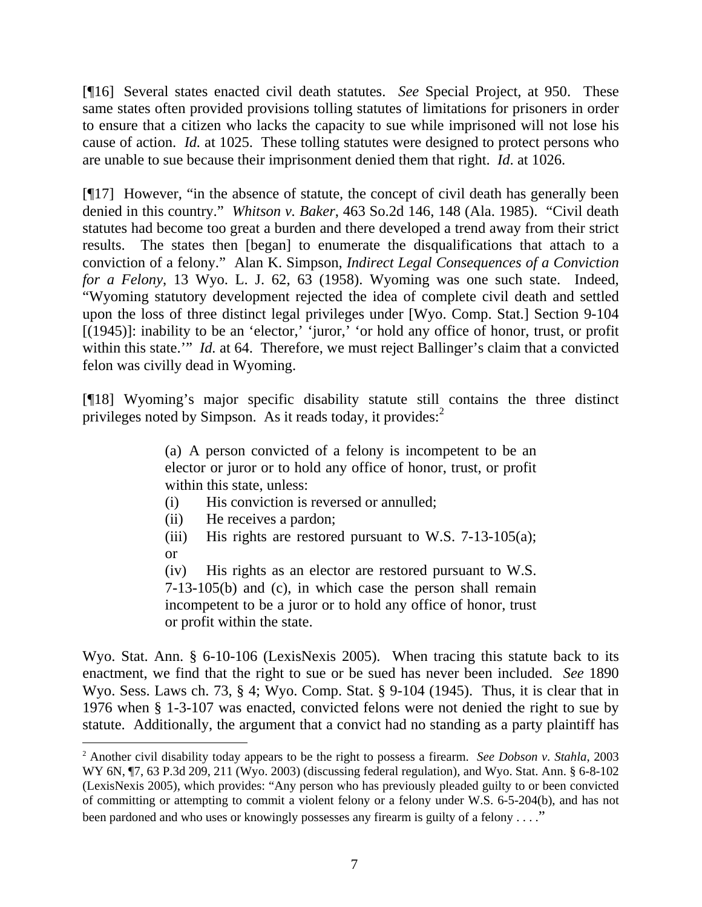[¶16] Several states enacted civil death statutes. *See* Special Project, at 950. These same states often provided provisions tolling statutes of limitations for prisoners in order to ensure that a citizen who lacks the capacity to sue while imprisoned will not lose his cause of action. *Id.* at 1025. These tolling statutes were designed to protect persons who are unable to sue because their imprisonment denied them that right. *Id*. at 1026.

[¶17] However, "in the absence of statute, the concept of civil death has generally been denied in this country." *Whitson v. Baker*, 463 So.2d 146, 148 (Ala. 1985). "Civil death statutes had become too great a burden and there developed a trend away from their strict results. The states then [began] to enumerate the disqualifications that attach to a conviction of a felony." Alan K. Simpson, *Indirect Legal Consequences of a Conviction for a Felony*, 13 Wyo. L. J. 62, 63 (1958). Wyoming was one such state. Indeed, "Wyoming statutory development rejected the idea of complete civil death and settled upon the loss of three distinct legal privileges under [Wyo. Comp. Stat.] Section 9-104 [(1945)]: inability to be an 'elector,' 'juror,' 'or hold any office of honor, trust, or profit within this state.'" *Id.* at 64. Therefore, we must reject Ballinger's claim that a convicted felon was civilly dead in Wyoming.

[¶18] Wyoming's major specific disability statute still contains the three distinct privileges noted by Simpson. As it reads today, it provides: $^2$  $^2$ 

> (a) A person convicted of a felony is incompetent to be an elector or juror or to hold any office of honor, trust, or profit within this state, unless:

- (i) His conviction is reversed or annulled;
- (ii) He receives a pardon;

 $\overline{a}$ 

(iii) His rights are restored pursuant to W.S.  $7-13-105(a)$ ; or

(iv) His rights as an elector are restored pursuant to W.S. 7-13-105(b) and (c), in which case the person shall remain incompetent to be a juror or to hold any office of honor, trust or profit within the state.

Wyo. Stat. Ann. § 6-10-106 (LexisNexis 2005). When tracing this statute back to its enactment, we find that the right to sue or be sued has never been included. *See* 1890 Wyo. Sess. Laws ch. 73, § 4; Wyo. Comp. Stat. § 9-104 (1945). Thus, it is clear that in 1976 when § 1-3-107 was enacted, convicted felons were not denied the right to sue by statute. Additionally, the argument that a convict had no standing as a party plaintiff has

<span id="page-8-0"></span><sup>2</sup> Another civil disability today appears to be the right to possess a firearm. *See Dobson v. Stahla*, 2003 WY 6N, ¶7, 63 P.3d 209, 211 (Wyo. 2003) (discussing federal regulation), and Wyo. Stat. Ann. § 6-8-102 (LexisNexis 2005), which provides: "Any person who has previously pleaded guilty to or been convicted of committing or attempting to commit a violent felony or a felony under W.S. 6-5-204(b), and has not been pardoned and who uses or knowingly possesses any firearm is guilty of a felony . . . ."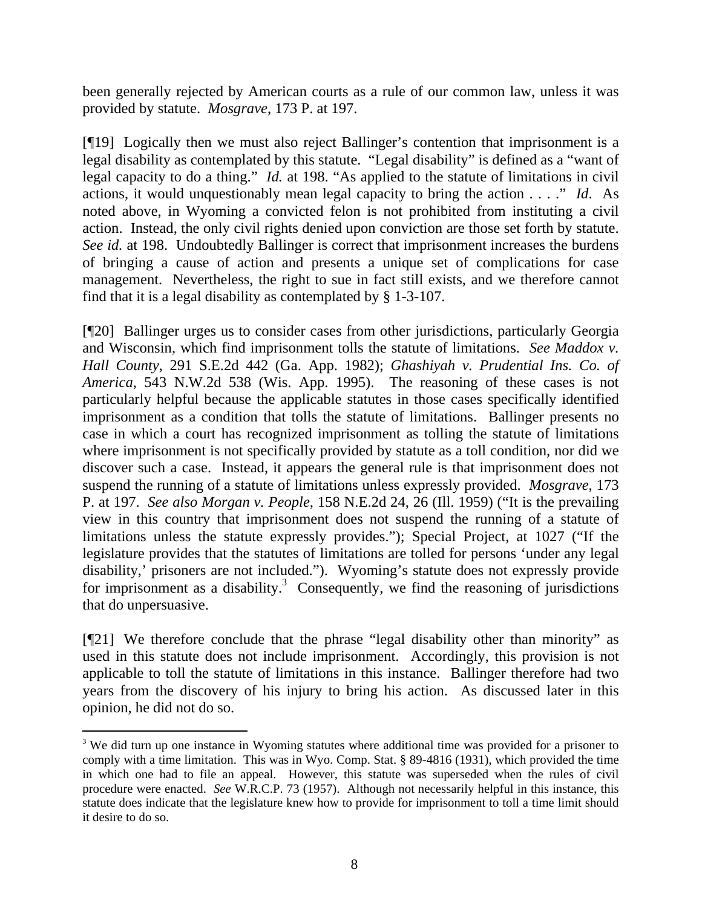been generally rejected by American courts as a rule of our common law, unless it was provided by statute. *Mosgrave*, 173 P. at 197.

[¶19] Logically then we must also reject Ballinger's contention that imprisonment is a legal disability as contemplated by this statute. "Legal disability" is defined as a "want of legal capacity to do a thing." *Id.* at 198. "As applied to the statute of limitations in civil actions, it would unquestionably mean legal capacity to bring the action . . . ." *Id*. As noted above, in Wyoming a convicted felon is not prohibited from instituting a civil action. Instead, the only civil rights denied upon conviction are those set forth by statute. *See id.* at 198. Undoubtedly Ballinger is correct that imprisonment increases the burdens of bringing a cause of action and presents a unique set of complications for case management. Nevertheless, the right to sue in fact still exists, and we therefore cannot find that it is a legal disability as contemplated by § 1-3-107.

[¶20] Ballinger urges us to consider cases from other jurisdictions, particularly Georgia and Wisconsin, which find imprisonment tolls the statute of limitations. *See Maddox v. Hall County*, 291 S.E.2d 442 (Ga. App. 1982); *Ghashiyah v. Prudential Ins. Co. of America*, 543 N.W.2d 538 (Wis. App. 1995). The reasoning of these cases is not particularly helpful because the applicable statutes in those cases specifically identified imprisonment as a condition that tolls the statute of limitations. Ballinger presents no case in which a court has recognized imprisonment as tolling the statute of limitations where imprisonment is not specifically provided by statute as a toll condition, nor did we discover such a case. Instead, it appears the general rule is that imprisonment does not suspend the running of a statute of limitations unless expressly provided. *Mosgrave*, 173 P. at 197. *See also Morgan v. People*, 158 N.E.2d 24, 26 (Ill. 1959) ("It is the prevailing view in this country that imprisonment does not suspend the running of a statute of limitations unless the statute expressly provides."); Special Project, at 1027 ("If the legislature provides that the statutes of limitations are tolled for persons 'under any legal disability,' prisoners are not included."). Wyoming's statute does not expressly provide for imprisonment as a disability.<sup>3</sup> Consequently, we find the reasoning of jurisdictions that do unpersuasive.

[¶21] We therefore conclude that the phrase "legal disability other than minority" as used in this statute does not include imprisonment. Accordingly, this provision is not applicable to toll the statute of limitations in this instance. Ballinger therefore had two years from the discovery of his injury to bring his action. As discussed later in this opinion, he did not do so.

<span id="page-9-0"></span><sup>&</sup>lt;sup>3</sup> We did turn up one instance in Wyoming statutes where additional time was provided for a prisoner to comply with a time limitation. This was in Wyo. Comp. Stat. § 89-4816 (1931), which provided the time in which one had to file an appeal. However, this statute was superseded when the rules of civil procedure were enacted. *See* W.R.C.P. 73 (1957). Although not necessarily helpful in this instance, this statute does indicate that the legislature knew how to provide for imprisonment to toll a time limit should it desire to do so.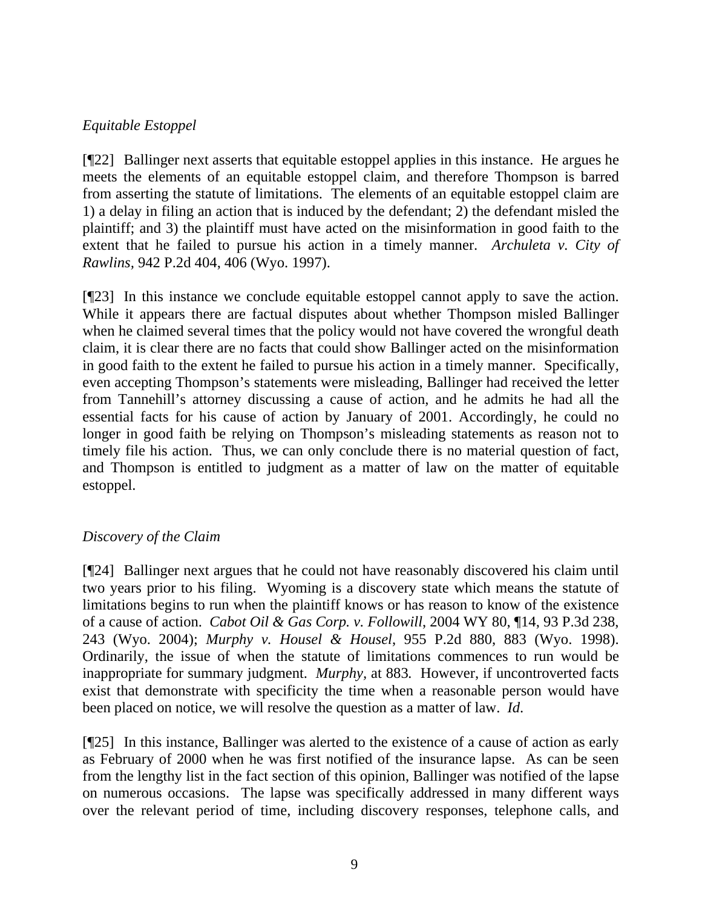## *Equitable Estoppel*

[¶22] Ballinger next asserts that equitable estoppel applies in this instance. He argues he meets the elements of an equitable estoppel claim, and therefore Thompson is barred from asserting the statute of limitations. The elements of an equitable estoppel claim are 1) a delay in filing an action that is induced by the defendant; 2) the defendant misled the plaintiff; and 3) the plaintiff must have acted on the misinformation in good faith to the extent that he failed to pursue his action in a timely manner. *Archuleta v. City of Rawlins,* 942 P.2d 404, 406 (Wyo. 1997).

[¶23] In this instance we conclude equitable estoppel cannot apply to save the action. While it appears there are factual disputes about whether Thompson misled Ballinger when he claimed several times that the policy would not have covered the wrongful death claim, it is clear there are no facts that could show Ballinger acted on the misinformation in good faith to the extent he failed to pursue his action in a timely manner. Specifically, even accepting Thompson's statements were misleading, Ballinger had received the letter from Tannehill's attorney discussing a cause of action, and he admits he had all the essential facts for his cause of action by January of 2001. Accordingly, he could no longer in good faith be relying on Thompson's misleading statements as reason not to timely file his action. Thus, we can only conclude there is no material question of fact, and Thompson is entitled to judgment as a matter of law on the matter of equitable estoppel.

## *Discovery of the Claim*

[¶24] Ballinger next argues that he could not have reasonably discovered his claim until two years prior to his filing. Wyoming is a discovery state which means the statute of limitations begins to run when the plaintiff knows or has reason to know of the existence of a cause of action. *Cabot Oil & Gas Corp. v. Followill*, 2004 WY 80, ¶14, 93 P.3d 238, 243 (Wyo. 2004); *Murphy v. Housel & Housel*, 955 P.2d 880, 883 (Wyo. 1998). Ordinarily, the issue of when the statute of limitations commences to run would be inappropriate for summary judgment. *Murphy,* at 883*.* However, if uncontroverted facts exist that demonstrate with specificity the time when a reasonable person would have been placed on notice, we will resolve the question as a matter of law. *Id*.

[¶25] In this instance, Ballinger was alerted to the existence of a cause of action as early as February of 2000 when he was first notified of the insurance lapse. As can be seen from the lengthy list in the fact section of this opinion, Ballinger was notified of the lapse on numerous occasions. The lapse was specifically addressed in many different ways over the relevant period of time, including discovery responses, telephone calls, and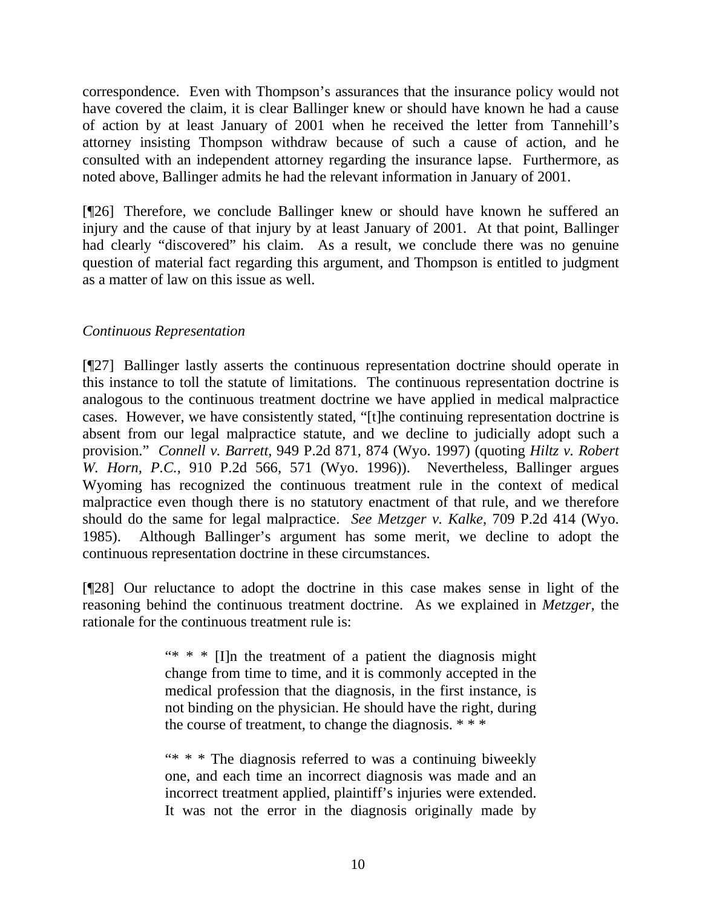correspondence. Even with Thompson's assurances that the insurance policy would not have covered the claim, it is clear Ballinger knew or should have known he had a cause of action by at least January of 2001 when he received the letter from Tannehill's attorney insisting Thompson withdraw because of such a cause of action, and he consulted with an independent attorney regarding the insurance lapse. Furthermore, as noted above, Ballinger admits he had the relevant information in January of 2001.

[¶26] Therefore, we conclude Ballinger knew or should have known he suffered an injury and the cause of that injury by at least January of 2001. At that point, Ballinger had clearly "discovered" his claim. As a result, we conclude there was no genuine question of material fact regarding this argument, and Thompson is entitled to judgment as a matter of law on this issue as well.

### *Continuous Representation*

[¶27] Ballinger lastly asserts the continuous representation doctrine should operate in this instance to toll the statute of limitations. The continuous representation doctrine is analogous to the continuous treatment doctrine we have applied in medical malpractice cases. However, we have consistently stated, "[t]he continuing representation doctrine is absent from our legal malpractice statute, and we decline to judicially adopt such a provision." *Connell v. Barrett*, 949 P.2d 871, 874 (Wyo. 1997) (quoting *Hiltz v. Robert W. Horn, P.C.*, 910 P.2d 566, 571 (Wyo. 1996)). Nevertheless, Ballinger argues Wyoming has recognized the continuous treatment rule in the context of medical malpractice even though there is no statutory enactment of that rule, and we therefore should do the same for legal malpractice. *See Metzger v. Kalke*, 709 P.2d 414 (Wyo. 1985). Although Ballinger's argument has some merit, we decline to adopt the continuous representation doctrine in these circumstances.

[¶28] Our reluctance to adopt the doctrine in this case makes sense in light of the reasoning behind the continuous treatment doctrine. As we explained in *Metzger,* the rationale for the continuous treatment rule is:

> "\* \* \* [I]n the treatment of a patient the diagnosis might change from time to time, and it is commonly accepted in the medical profession that the diagnosis, in the first instance, is not binding on the physician. He should have the right, during the course of treatment, to change the diagnosis.  $***$

> "\* \* \* The diagnosis referred to was a continuing biweekly one, and each time an incorrect diagnosis was made and an incorrect treatment applied, plaintiff's injuries were extended. It was not the error in the diagnosis originally made by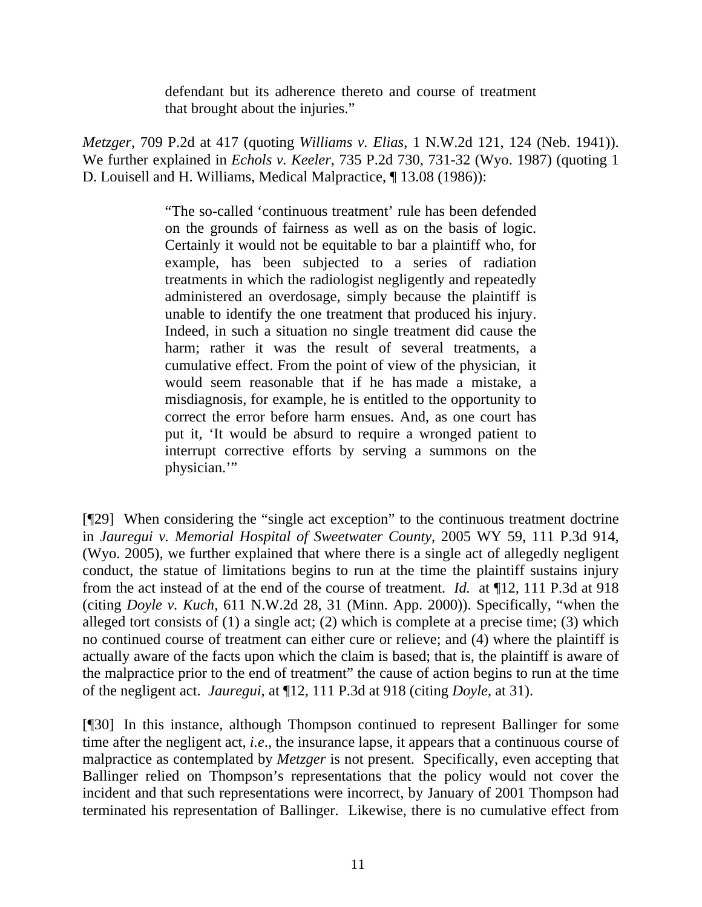defendant but its adherence thereto and course of treatment that brought about the injuries."

*Metzger*, 709 P.2d at 417 (quoting *Williams v. Elias*, 1 N.W.2d 121, 124 (Neb. 1941)). We further explained in *Echols v. Keeler*, 735 P.2d 730, 731-32 (Wyo. 1987) (quoting 1 D. Louisell and H. Williams, Medical Malpractice, ¶ 13.08 (1986)):

> "The so-called 'continuous treatment' rule has been defended on the grounds of fairness as well as on the basis of logic. Certainly it would not be equitable to bar a plaintiff who, for example, has been subjected to a series of radiation treatments in which the radiologist negligently and repeatedly administered an overdosage, simply because the plaintiff is unable to identify the one treatment that produced his injury. Indeed, in such a situation no single treatment did cause the harm; rather it was the result of several treatments, a cumulative effect. From the point of view of the physician, it would seem reasonable that if he has made a mistake, a misdiagnosis, for example, he is entitled to the opportunity to correct the error before harm ensues. And, as one court has put it, 'It would be absurd to require a wronged patient to interrupt corrective efforts by serving a summons on the physician.'"

[¶29] When considering the "single act exception" to the continuous treatment doctrine in *Jauregui v. Memorial Hospital of Sweetwater County*, 2005 WY 59, 111 P.3d 914, (Wyo. 2005), we further explained that where there is a single act of allegedly negligent conduct, the statue of limitations begins to run at the time the plaintiff sustains injury from the act instead of at the end of the course of treatment. *Id.* at ¶12, 111 P.3d at 918 (citing *Doyle v. Kuch*, 611 N.W.2d 28, 31 (Minn. App. 2000)). Specifically, "when the alleged tort consists of (1) a single act; (2) which is complete at a precise time; (3) which no continued course of treatment can either cure or relieve; and (4) where the plaintiff is actually aware of the facts upon which the claim is based; that is, the plaintiff is aware of the malpractice prior to the end of treatment" the cause of action begins to run at the time of the negligent act. *Jauregui,* at ¶12, 111 P.3d at 918 (citing *Doyle*, at 31).

[¶30] In this instance, although Thompson continued to represent Ballinger for some time after the negligent act, *i.e*., the insurance lapse, it appears that a continuous course of malpractice as contemplated by *Metzger* is not present. Specifically, even accepting that Ballinger relied on Thompson's representations that the policy would not cover the incident and that such representations were incorrect, by January of 2001 Thompson had terminated his representation of Ballinger. Likewise, there is no cumulative effect from